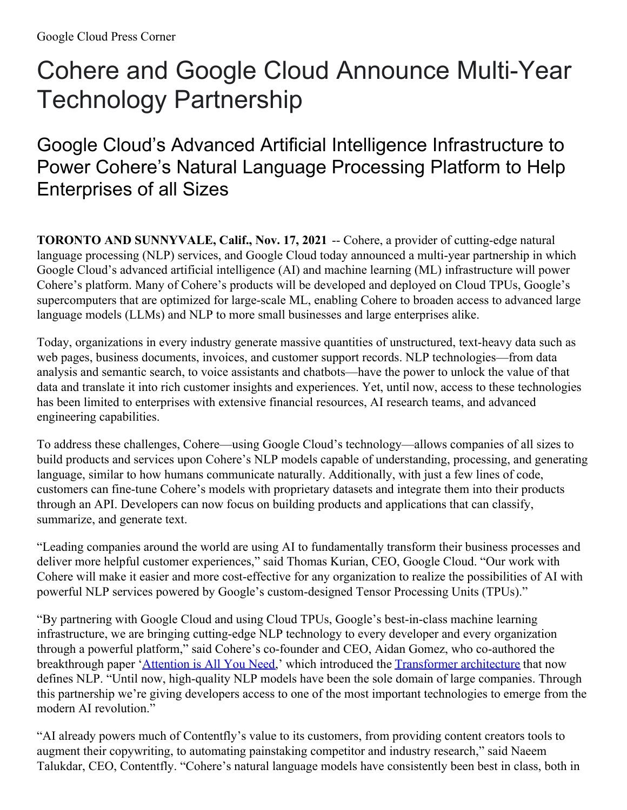# Cohere and Google Cloud Announce Multi-Year Technology Partnership

## Google Cloud's Advanced Artificial Intelligence Infrastructure to Power Cohere's Natural Language Processing Platform to Help Enterprises of all Sizes

**TORONTO AND SUNNYVALE, Calif., Nov. 17, 2021** -- Cohere, a provider of cutting-edge natural language processing (NLP) services, and Google Cloud today announced a multi-year partnership in which Google Cloud's advanced artificial intelligence (AI) and machine learning (ML) infrastructure will power Cohere's platform. Many of Cohere's products will be developed and deployed on Cloud TPUs, Google's supercomputers that are optimized for large-scale ML, enabling Cohere to broaden access to advanced large language models (LLMs) and NLP to more small businesses and large enterprises alike.

Today, organizations in every industry generate massive quantities of unstructured, text-heavy data such as web pages, business documents, invoices, and customer support records. NLP technologies—from data analysis and semantic search, to voice assistants and chatbots—have the power to unlock the value of that data and translate it into rich customer insights and experiences. Yet, until now, access to these technologies has been limited to enterprises with extensive financial resources, AI research teams, and advanced engineering capabilities.

To address these challenges, Cohere—using Google Cloud's technology—allows companies of all sizes to build products and services upon Cohere's NLP models capable of understanding, processing, and generating language, similar to how humans communicate naturally. Additionally, with just a few lines of code, customers can fine-tune Cohere's models with proprietary datasets and integrate them into their products through an API. Developers can now focus on building products and applications that can classify, summarize, and generate text.

"Leading companies around the world are using AI to fundamentally transform their business processes and deliver more helpful customer experiences," said Thomas Kurian, CEO, Google Cloud. "Our work with Cohere will make it easier and more cost-effective for any organization to realize the possibilities of AI with powerful NLP services powered by Google's custom-designed Tensor Processing Units (TPUs)."

"By partnering with Google Cloud and using Cloud TPUs, Google's best-in-class machine learning infrastructure, we are bringing cutting-edge NLP technology to every developer and every organization through a powerful platform," said Cohere's co-founder and CEO, Aidan Gomez, who co-authored the breakthrough paper ['Attention](https://arxiv.org/abs/1706.03762) is All You Need,' which introduced the [Transformer](https://ai.googleblog.com/2017/08/transformer-novel-neural-network.html) architecture that now defines NLP. "Until now, high-quality NLP models have been the sole domain of large companies. Through this partnership we're giving developers access to one of the most important technologies to emerge from the modern AI revolution."

"AI already powers much of Contentfly's value to its customers, from providing content creators tools to augment their copywriting, to automating painstaking competitor and industry research," said Naeem Talukdar, CEO, Contentfly. "Cohere's natural language models have consistently been best in class, both in